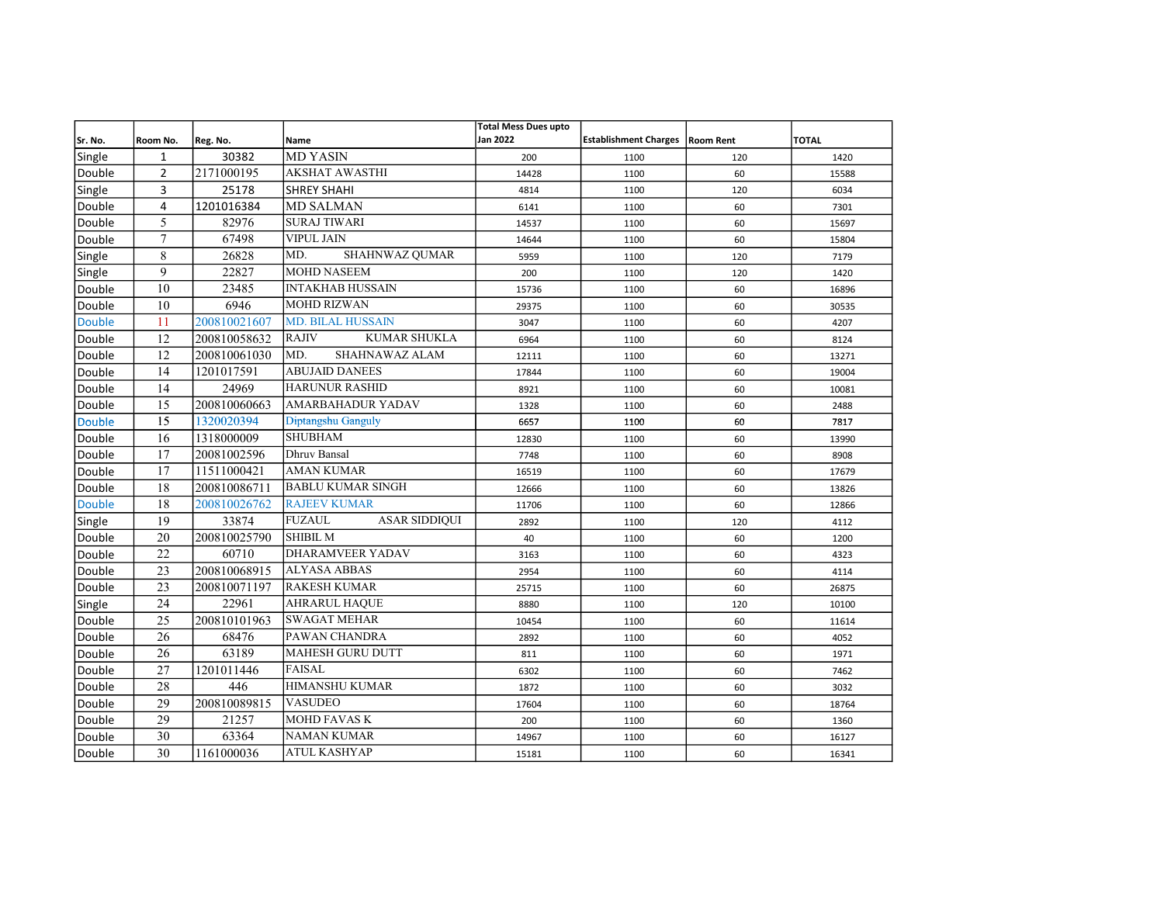|               |                 |              |                                       | <b>Total Mess Dues upto</b> |                                   |     |              |
|---------------|-----------------|--------------|---------------------------------------|-----------------------------|-----------------------------------|-----|--------------|
| Sr. No.       | Room No.        | Reg. No.     | <b>Name</b>                           | Jan 2022                    | Establishment Charges   Room Rent |     | <b>TOTAL</b> |
| Single        | $\mathbf{1}$    | 30382        | <b>MD YASIN</b>                       | 200                         | 1100                              | 120 | 1420         |
| Double        | $\overline{2}$  | 2171000195   | <b>AKSHAT AWASTHI</b>                 | 14428                       | 1100                              | 60  | 15588        |
| Single        | 3               | 25178        | <b>SHREY SHAHI</b>                    | 4814                        | 1100                              | 120 | 6034         |
| Double        | 4               | 1201016384   | <b>MD SALMAN</b>                      | 6141                        | 1100                              | 60  | 7301         |
| Double        | 5               | 82976        | <b>SURAJ TIWARI</b>                   | 14537                       | 1100                              | 60  | 15697        |
| Double        | $\tau$          | 67498        | <b>VIPUL JAIN</b>                     | 14644                       | 1100                              | 60  | 15804        |
| Single        | $\,8\,$         | 26828        | MD.<br>SHAHNWAZ QUMAR                 | 5959                        | 1100                              | 120 | 7179         |
| Single        | 9               | 22827        | <b>MOHD NASEEM</b>                    | 200                         | 1100                              | 120 | 1420         |
| Double        | 10              | 23485        | <b>INTAKHAB HUSSAIN</b>               | 15736                       | 1100                              | 60  | 16896        |
| Double        | 10              | 6946         | <b>MOHD RIZWAN</b>                    | 29375                       | 1100                              | 60  | 30535        |
| <b>Double</b> | 11              | 200810021607 | <b>MD. BILAL HUSSAIN</b>              | 3047                        | 1100                              | 60  | 4207         |
| Double        | 12              | 200810058632 | <b>RAJIV</b><br><b>KUMAR SHUKLA</b>   | 6964                        | 1100                              | 60  | 8124         |
| Double        | 12              | 200810061030 | MD.<br>SHAHNAWAZ ALAM                 | 12111                       | 1100                              | 60  | 13271        |
| Double        | 14              | 1201017591   | <b>ABUJAID DANEES</b>                 | 17844                       | 1100                              | 60  | 19004        |
| Double        | 14              | 24969        | <b>HARUNUR RASHID</b>                 | 8921                        | 1100                              | 60  | 10081        |
| Double        | 15              | 200810060663 | <b>AMARBAHADUR YADAV</b>              | 1328                        | 1100                              | 60  | 2488         |
| Double        | 15              | 1320020394   | Diptangshu Ganguly                    | 6657                        | 1100                              | 60  | 7817         |
| Double        | 16              | 1318000009   | <b>SHUBHAM</b>                        | 12830                       | 1100                              | 60  | 13990        |
| Double        | 17              | 20081002596  | <b>Dhruv Bansal</b>                   | 7748                        | 1100                              | 60  | 8908         |
| Double        | 17              | 11511000421  | <b>AMAN KUMAR</b>                     | 16519                       | 1100                              | 60  | 17679        |
| Double        | 18              | 200810086711 | <b>BABLU KUMAR SINGH</b>              | 12666                       | 1100                              | 60  | 13826        |
| Double        | 18              | 200810026762 | <b>RAJEEV KUMAR</b>                   | 11706                       | 1100                              | 60  | 12866        |
| Single        | 19              | 33874        | <b>FUZAUL</b><br><b>ASAR SIDDIQUI</b> | 2892                        | 1100                              | 120 | 4112         |
| Double        | 20              | 200810025790 | <b>SHIBIL M</b>                       | 40                          | 1100                              | 60  | 1200         |
| Double        | $\overline{22}$ | 60710        | DHARAMVEER YADAV                      | 3163                        | 1100                              | 60  | 4323         |
| Double        | 23              | 200810068915 | <b>ALYASA ABBAS</b>                   | 2954                        | 1100                              | 60  | 4114         |
| Double        | 23              | 200810071197 | <b>RAKESH KUMAR</b>                   | 25715                       | 1100                              | 60  | 26875        |
| Single        | 24              | 22961        | <b>AHRARUL HAQUE</b>                  | 8880                        | 1100                              | 120 | 10100        |
| Double        | 25              | 200810101963 | <b>SWAGAT MEHAR</b>                   | 10454                       | 1100                              | 60  | 11614        |
| Double        | 26              | 68476        | PAWAN CHANDRA                         | 2892                        | 1100                              | 60  | 4052         |
| Double        | 26              | 63189        | <b>MAHESH GURU DUTT</b>               | 811                         | 1100                              | 60  | 1971         |
| Double        | 27              | 1201011446   | <b>FAISAL</b>                         | 6302                        | 1100                              | 60  | 7462         |
| Double        | 28              | 446          | <b>HIMANSHU KUMAR</b>                 | 1872                        | 1100                              | 60  | 3032         |
| Double        | 29              | 200810089815 | <b>VASUDEO</b>                        | 17604                       | 1100                              | 60  | 18764        |
| Double        | 29              | 21257        | <b>MOHD FAVAS K</b>                   | 200                         | 1100                              | 60  | 1360         |
| Double        | 30              | 63364        | <b>NAMAN KUMAR</b>                    | 14967                       | 1100                              | 60  | 16127        |
| Double        | 30              | 1161000036   | ATUL KASHYAP                          | 15181                       | 1100                              | 60  | 16341        |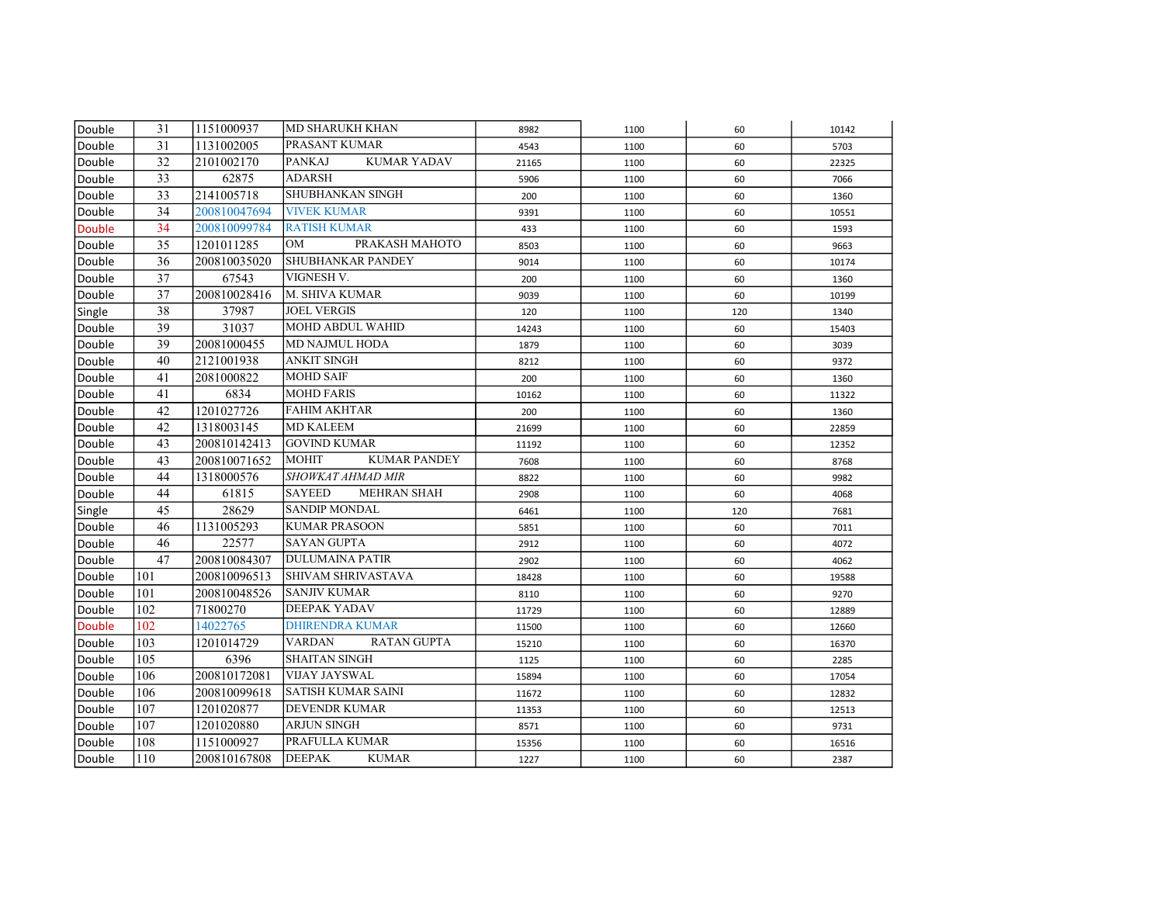| Double        | 31  | 1151000937   | <b>MD SHARUKH KHAN</b>              | 8982  | 1100 | 60  | 10142 |
|---------------|-----|--------------|-------------------------------------|-------|------|-----|-------|
| Double        | 31  | 1131002005   | PRASANT KUMAR                       | 4543  | 1100 | 60  | 5703  |
| Double        | 32  | 2101002170   | <b>PANKAJ</b><br><b>KUMAR YADAV</b> | 21165 | 1100 | 60  | 22325 |
| Double        | 33  | 62875        | <b>ADARSH</b>                       | 5906  | 1100 | 60  | 7066  |
| Double        | 33  | 2141005718   | SHUBHANKAN SINGH                    | 200   | 1100 | 60  | 1360  |
| Double        | 34  | 200810047694 | <b>VIVEK KUMAR</b>                  | 9391  | 1100 | 60  | 10551 |
| <b>Double</b> | 34  | 200810099784 | <b>RATISH KUMAR</b>                 | 433   | 1100 | 60  | 1593  |
| Double        | 35  | 1201011285   | <b>OM</b><br>PRAKASH MAHOTO         | 8503  | 1100 | 60  | 9663  |
| Double        | 36  | 200810035020 | SHUBHANKAR PANDEY                   | 9014  | 1100 | 60  | 10174 |
| Double        | 37  | 67543        | VIGNESH V.                          | 200   | 1100 | 60  | 1360  |
| Double        | 37  | 200810028416 | M. SHIVA KUMAR                      | 9039  | 1100 | 60  | 10199 |
| Single        | 38  | 37987        | <b>JOEL VERGIS</b>                  | 120   | 1100 | 120 | 1340  |
| Double        | 39  | 31037        | MOHD ABDUL WAHID                    | 14243 | 1100 | 60  | 15403 |
| Double        | 39  | 20081000455  | <b>MD NAJMUL HODA</b>               | 1879  | 1100 | 60  | 3039  |
| Double        | 40  | 2121001938   | ANKIT SINGH                         | 8212  | 1100 | 60  | 9372  |
| Double        | 41  | 2081000822   | <b>MOHD SAIF</b>                    | 200   | 1100 | 60  | 1360  |
| Double        | 41  | 6834         | <b>MOHD FARIS</b>                   | 10162 | 1100 | 60  | 11322 |
| Double        | 42  | 1201027726   | <b>FAHIM AKHTAR</b>                 | 200   | 1100 | 60  | 1360  |
| Double        | 42  | 1318003145   | <b>MD KALEEM</b>                    | 21699 | 1100 | 60  | 22859 |
| Double        | 43  | 200810142413 | <b>GOVIND KUMAR</b>                 | 11192 | 1100 | 60  | 12352 |
| Double        | 43  | 200810071652 | <b>MOHIT</b><br><b>KUMAR PANDEY</b> | 7608  | 1100 | 60  | 8768  |
| Double        | 44  | 1318000576   | SHOWKAT AHMAD MIR                   | 8822  | 1100 | 60  | 9982  |
| Double        | 44  | 61815        | <b>SAYEED</b><br>MEHRAN SHAH        | 2908  | 1100 | 60  | 4068  |
| Single        | 45  | 28629        | <b>SANDIP MONDAL</b>                | 6461  | 1100 | 120 | 7681  |
| Double        | 46  | 1131005293   | <b>KUMAR PRASOON</b>                | 5851  | 1100 | 60  | 7011  |
| Double        | 46  | 22577        | <b>SAYAN GUPTA</b>                  | 2912  | 1100 | 60  | 4072  |
| Double        | 47  | 200810084307 | <b>DULUMAINA PATIR</b>              | 2902  | 1100 | 60  | 4062  |
| Double        | 101 | 200810096513 | <b>SHIVAM SHRIVASTAVA</b>           | 18428 | 1100 | 60  | 19588 |
| Double        | 101 | 200810048526 | <b>SANJIV KUMAR</b>                 | 8110  | 1100 | 60  | 9270  |
| Double        | 102 | 71800270     | <b>DEEPAK YADAV</b>                 | 11729 | 1100 | 60  | 12889 |
| <b>Double</b> | 102 | 14022765     | <b>DHIRENDRA KUMAR</b>              | 11500 | 1100 | 60  | 12660 |
| Double        | 103 | 1201014729   | <b>VARDAN</b><br><b>RATAN GUPTA</b> | 15210 | 1100 | 60  | 16370 |
| Double        | 105 | 6396         | <b>SHAITAN SINGH</b>                | 1125  | 1100 | 60  | 2285  |
| Double        | 106 | 200810172081 | <b>VIJAY JAYSWAL</b>                | 15894 | 1100 | 60  | 17054 |
| Double        | 106 | 200810099618 | SATISH KUMAR SAINI                  | 11672 | 1100 | 60  | 12832 |
| Double        | 107 | 1201020877   | <b>DEVENDR KUMAR</b>                | 11353 | 1100 | 60  | 12513 |
| Double        | 107 | 1201020880   | <b>ARJUN SINGH</b>                  | 8571  | 1100 | 60  | 9731  |
| Double        | 108 | 1151000927   | PRAFULLA KUMAR                      | 15356 | 1100 | 60  | 16516 |
| Double        | 110 | 200810167808 | <b>DEEPAK</b><br><b>KUMAR</b>       | 1227  | 1100 | 60  | 2387  |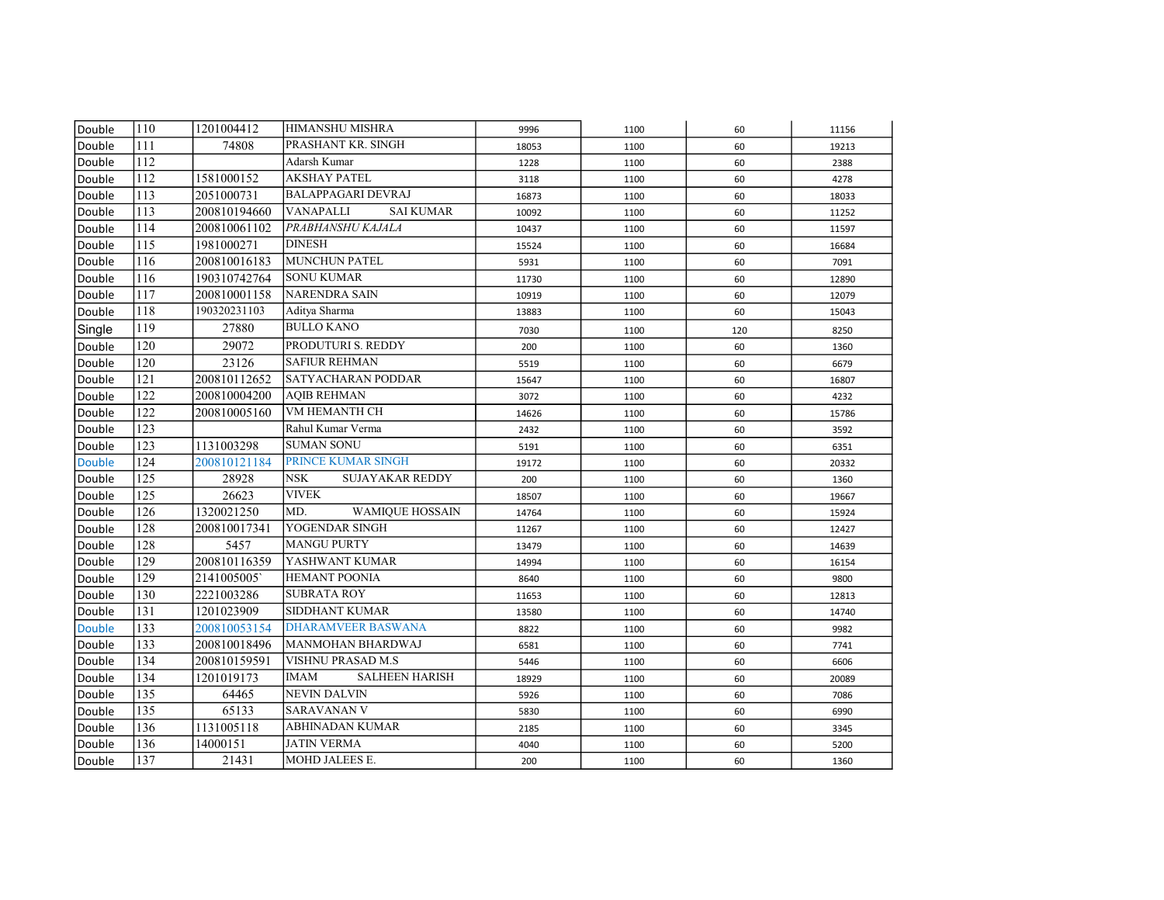| Double        | 110              | 1201004412   | HIMANSHU MISHRA                      | 9996  | 1100 | 60  | 11156 |
|---------------|------------------|--------------|--------------------------------------|-------|------|-----|-------|
| Double        | 111              | 74808        | PRASHANT KR. SINGH                   | 18053 | 1100 | 60  | 19213 |
| Double        | 112              |              | Adarsh Kumar                         | 1228  | 1100 | 60  | 2388  |
| Double        | $\overline{112}$ | 1581000152   | <b>AKSHAY PATEL</b>                  | 3118  | 1100 | 60  | 4278  |
| Double        | 113              | 2051000731   | <b>BALAPPAGARI DEVRAJ</b>            | 16873 | 1100 | 60  | 18033 |
| Double        | 113              | 200810194660 | <b>VANAPALLI</b><br><b>SAI KUMAR</b> | 10092 | 1100 | 60  | 11252 |
| Double        | 114              | 200810061102 | PRABHANSHU KAJALA                    | 10437 | 1100 | 60  | 11597 |
| Double        | 115              | 1981000271   | <b>DINESH</b>                        | 15524 | 1100 | 60  | 16684 |
| Double        | 116              | 200810016183 | <b>MUNCHUN PATEL</b>                 | 5931  | 1100 | 60  | 7091  |
| Double        | 116              | 190310742764 | <b>SONU KUMAR</b>                    | 11730 | 1100 | 60  | 12890 |
| Double        | 117              | 200810001158 | <b>NARENDRA SAIN</b>                 | 10919 | 1100 | 60  | 12079 |
| Double        | 118              | 190320231103 | Aditya Sharma                        | 13883 | 1100 | 60  | 15043 |
| Single        | 119              | 27880        | <b>BULLO KANO</b>                    | 7030  | 1100 | 120 | 8250  |
| Double        | 120              | 29072        | PRODUTURI S. REDDY                   | 200   | 1100 | 60  | 1360  |
| Double        | 120              | 23126        | <b>SAFIUR REHMAN</b>                 | 5519  | 1100 | 60  | 6679  |
| Double        | 121              | 200810112652 | <b>SATYACHARAN PODDAR</b>            | 15647 | 1100 | 60  | 16807 |
| Double        | 122              | 200810004200 | <b>AOIB REHMAN</b>                   | 3072  | 1100 | 60  | 4232  |
| Double        | 122              | 200810005160 | VM HEMANTH CH                        | 14626 | 1100 | 60  | 15786 |
| Double        | 123              |              | Rahul Kumar Verma                    | 2432  | 1100 | 60  | 3592  |
| Double        | 123              | 1131003298   | <b>SUMAN SONU</b>                    | 5191  | 1100 | 60  | 6351  |
| <b>Double</b> | 124              | 200810121184 | <b>PRINCE KUMAR SINGH</b>            | 19172 | 1100 | 60  | 20332 |
| Double        | 125              | 28928        | <b>NSK</b><br><b>SUJAYAKAR REDDY</b> | 200   | 1100 | 60  | 1360  |
| Double        | 125              | 26623        | <b>VIVEK</b>                         | 18507 | 1100 | 60  | 19667 |
| Double        | 126              | 1320021250   | MD.<br><b>WAMIQUE HOSSAIN</b>        | 14764 | 1100 | 60  | 15924 |
| Double        | 128              | 200810017341 | YOGENDAR SINGH                       | 11267 | 1100 | 60  | 12427 |
| Double        | 128              | 5457         | <b>MANGU PURTY</b>                   | 13479 | 1100 | 60  | 14639 |
| Double        | 129              | 200810116359 | YASHWANT KUMAR                       | 14994 | 1100 | 60  | 16154 |
| Double        | 129              | 2141005005   | <b>HEMANT POONIA</b>                 | 8640  | 1100 | 60  | 9800  |
| Double        | 130              | 2221003286   | <b>SUBRATA ROY</b>                   | 11653 | 1100 | 60  | 12813 |
| Double        | 131              | 1201023909   | <b>SIDDHANT KUMAR</b>                | 13580 | 1100 | 60  | 14740 |
| <b>Double</b> | 133              | 200810053154 | <b>DHARAMVEER BASWANA</b>            | 8822  | 1100 | 60  | 9982  |
| Double        | 133              | 200810018496 | <b>MANMOHAN BHARDWAJ</b>             | 6581  | 1100 | 60  | 7741  |
| Double        | 134              | 200810159591 | VISHNU PRASAD M.S                    | 5446  | 1100 | 60  | 6606  |
| Double        | 134              | 1201019173   | <b>IMAM</b><br><b>SALHEEN HARISH</b> | 18929 | 1100 | 60  | 20089 |
| Double        | 135              | 64465        | <b>NEVIN DALVIN</b>                  | 5926  | 1100 | 60  | 7086  |
| Double        | 135              | 65133        | <b>SARAVANAN V</b>                   | 5830  | 1100 | 60  | 6990  |
| Double        | 136              | 1131005118   | ABHINADAN KUMAR                      | 2185  | 1100 | 60  | 3345  |
| Double        | 136              | 14000151     | <b>JATIN VERMA</b>                   | 4040  | 1100 | 60  | 5200  |
| Double        | 137              | 21431        | MOHD JALEES E.                       | 200   | 1100 | 60  | 1360  |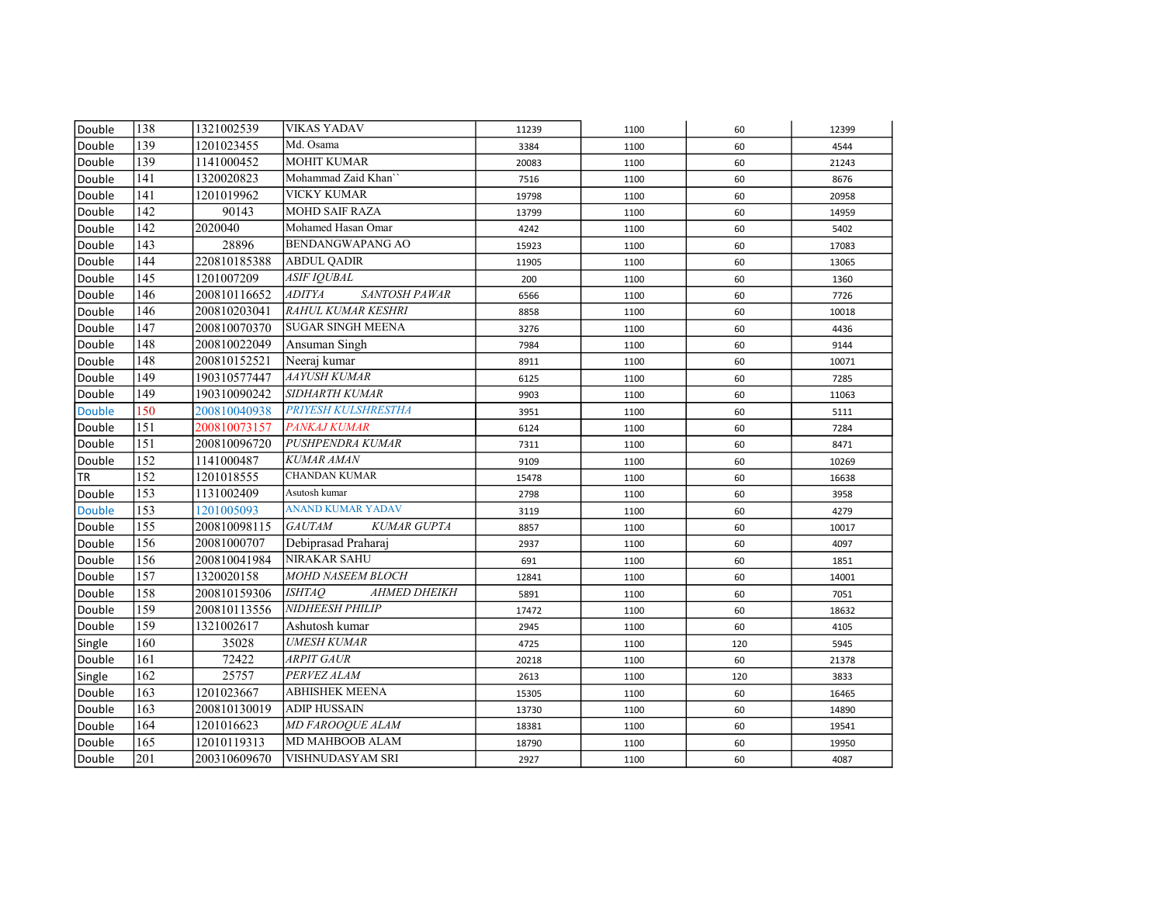| Double        | 138              | 1321002539   | <b>VIKAS YADAV</b>                   | 11239 | 1100 | 60  | 12399 |
|---------------|------------------|--------------|--------------------------------------|-------|------|-----|-------|
| Double        | 139              | 1201023455   | Md. Osama                            | 3384  | 1100 | 60  | 4544  |
| Double        | 139              | 1141000452   | <b>MOHIT KUMAR</b>                   | 20083 | 1100 | 60  | 21243 |
| Double        | 141              | 1320020823   | Mohammad Zaid Khan"                  | 7516  | 1100 | 60  | 8676  |
| Double        | 141              | 1201019962   | <b>VICKY KUMAR</b>                   | 19798 | 1100 | 60  | 20958 |
| Double        | $\overline{142}$ | 90143        | <b>MOHD SAIF RAZA</b>                | 13799 | 1100 | 60  | 14959 |
| Double        | 142              | 2020040      | Mohamed Hasan Omar                   | 4242  | 1100 | 60  | 5402  |
| Double        | 143              | 28896        | <b>BENDANGWAPANG AO</b>              | 15923 | 1100 | 60  | 17083 |
| Double        | 144              | 220810185388 | <b>ABDUL QADIR</b>                   | 11905 | 1100 | 60  | 13065 |
| Double        | 145              | 1201007209   | <b>ASIF IOUBAL</b>                   | 200   | 1100 | 60  | 1360  |
| Double        | 146              | 200810116652 | SANTOSH PAWAR<br><b>ADITYA</b>       | 6566  | 1100 | 60  | 7726  |
| Double        | 146              | 200810203041 | RAHUL KUMAR KESHRI                   | 8858  | 1100 | 60  | 10018 |
| Double        | 147              | 200810070370 | <b>SUGAR SINGH MEENA</b>             | 3276  | 1100 | 60  | 4436  |
| Double        | 148              | 200810022049 | Ansuman Singh                        | 7984  | 1100 | 60  | 9144  |
| Double        | 148              | 200810152521 | Neeraj kumar                         | 8911  | 1100 | 60  | 10071 |
| Double        | 149              | 190310577447 | AAYUSH KUMAR                         | 6125  | 1100 | 60  | 7285  |
| Double        | 149              | 190310090242 | <b>SIDHARTH KUMAR</b>                | 9903  | 1100 | 60  | 11063 |
| <b>Double</b> | 150              | 200810040938 | <b>PRIYESH KULSHRESTHA</b>           | 3951  | 1100 | 60  | 5111  |
| Double        | 151              | 200810073157 | <b>PANKAJ KUMAR</b>                  | 6124  | 1100 | 60  | 7284  |
| Double        | 151              | 200810096720 | PUSHPENDRA KUMAR                     | 7311  | 1100 | 60  | 8471  |
| Double        | 152              | 1141000487   | <b>KUMAR AMAN</b>                    | 9109  | 1100 | 60  | 10269 |
| <b>TR</b>     | 152              | 1201018555   | <b>CHANDAN KUMAR</b>                 | 15478 | 1100 | 60  | 16638 |
| Double        | 153              | 1131002409   | Asutosh kumar                        | 2798  | 1100 | 60  | 3958  |
| <b>Double</b> | 153              | 1201005093   | <b>ANAND KUMAR YADAV</b>             | 3119  | 1100 | 60  | 4279  |
| Double        | 155              | 200810098115 | <b>GAUTAM</b><br><b>KUMAR GUPTA</b>  | 8857  | 1100 | 60  | 10017 |
| Double        | 156              | 20081000707  | Debiprasad Praharaj                  | 2937  | 1100 | 60  | 4097  |
| Double        | 156              | 200810041984 | <b>NIRAKAR SAHU</b>                  | 691   | 1100 | 60  | 1851  |
| Double        | 157              | 1320020158   | MOHD NASEEM BLOCH                    | 12841 | 1100 | 60  | 14001 |
| Double        | 158              | 200810159306 | <b>AHMED DHEIKH</b><br><b>ISHTAO</b> | 5891  | 1100 | 60  | 7051  |
| Double        | 159              | 200810113556 | <b>NIDHEESH PHILIP</b>               | 17472 | 1100 | 60  | 18632 |
| Double        | 159              | 1321002617   | Ashutosh kumar                       | 2945  | 1100 | 60  | 4105  |
| Single        | 160              | 35028        | <b>UMESH KUMAR</b>                   | 4725  | 1100 | 120 | 5945  |
| Double        | 161              | 72422        | <b>ARPIT GAUR</b>                    | 20218 | 1100 | 60  | 21378 |
| Single        | 162              | 25757        | PERVEZ ALAM                          | 2613  | 1100 | 120 | 3833  |
| Double        | 163              | 1201023667   | <b>ABHISHEK MEENA</b>                | 15305 | 1100 | 60  | 16465 |
| Double        | 163              | 200810130019 | <b>ADIP HUSSAIN</b>                  | 13730 | 1100 | 60  | 14890 |
| Double        | 164              | 1201016623   | MD FAROOQUE ALAM                     | 18381 | 1100 | 60  | 19541 |
| Double        | 165              | 12010119313  | MD MAHBOOB ALAM                      | 18790 | 1100 | 60  | 19950 |
| Double        | 201              | 200310609670 | VISHNUDASYAM SRI                     | 2927  | 1100 | 60  | 4087  |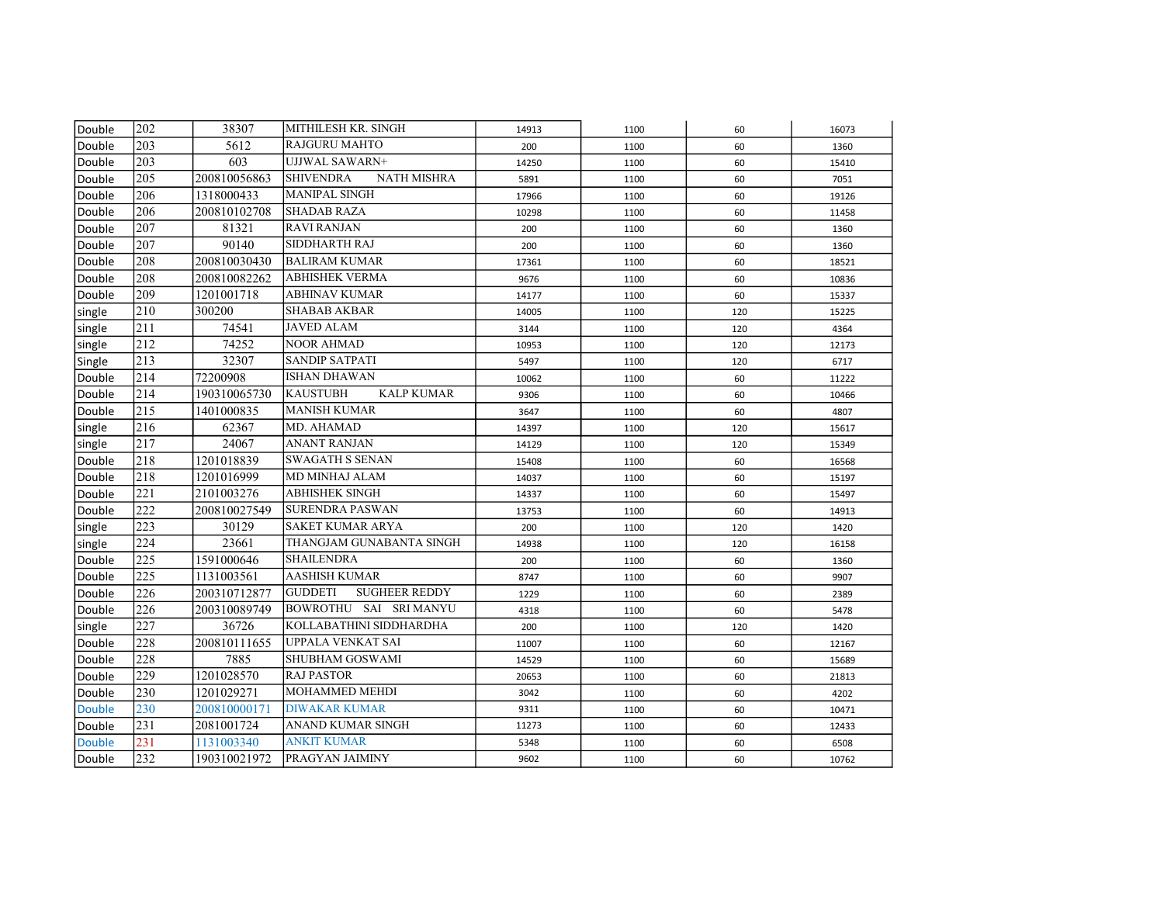| Double        | 202              | 38307        | MITHILESH KR. SINGH                    | 14913 | 1100 | 60  | 16073 |
|---------------|------------------|--------------|----------------------------------------|-------|------|-----|-------|
| Double        | 203              | 5612         | <b>RAJGURU MAHTO</b>                   | 200   | 1100 | 60  | 1360  |
| Double        | 203              | 603          | UJJWAL SAWARN+                         | 14250 | 1100 | 60  | 15410 |
| Double        | 205              | 200810056863 | <b>SHIVENDRA</b><br><b>NATH MISHRA</b> | 5891  | 1100 | 60  | 7051  |
| Double        | 206              | 1318000433   | <b>MANIPAL SINGH</b>                   | 17966 | 1100 | 60  | 19126 |
| Double        | 206              | 200810102708 | <b>SHADAB RAZA</b>                     | 10298 | 1100 | 60  | 11458 |
| Double        | 207              | 81321        | <b>RAVI RANJAN</b>                     | 200   | 1100 | 60  | 1360  |
| Double        | 207              | 90140        | SIDDHARTH RAJ                          | 200   | 1100 | 60  | 1360  |
| Double        | 208              | 200810030430 | <b>BALIRAM KUMAR</b>                   | 17361 | 1100 | 60  | 18521 |
| Double        | 208              | 200810082262 | ABHISHEK VERMA                         | 9676  | 1100 | 60  | 10836 |
| Double        | 209              | 1201001718   | ABHINAV KUMAR                          | 14177 | 1100 | 60  | 15337 |
| single        | 210              | 300200       | <b>SHABAB AKBAR</b>                    | 14005 | 1100 | 120 | 15225 |
| single        | 211              | 74541        | JAVED ALAM                             | 3144  | 1100 | 120 | 4364  |
| single        | 212              | 74252        | <b>NOOR AHMAD</b>                      | 10953 | 1100 | 120 | 12173 |
| Single        | 213              | 32307        | <b>SANDIP SATPATI</b>                  | 5497  | 1100 | 120 | 6717  |
| Double        | 214              | 72200908     | <b>ISHAN DHAWAN</b>                    | 10062 | 1100 | 60  | 11222 |
| Double        | 214              | 190310065730 | <b>KAUSTUBH</b><br><b>KALP KUMAR</b>   | 9306  | 1100 | 60  | 10466 |
| Double        | 215              | 1401000835   | MANISH KUMAR                           | 3647  | 1100 | 60  | 4807  |
| single        | 216              | 62367        | MD. AHAMAD                             | 14397 | 1100 | 120 | 15617 |
| single        | 217              | 24067        | <b>ANANT RANJAN</b>                    | 14129 | 1100 | 120 | 15349 |
| Double        | 218              | 1201018839   | <b>SWAGATH S SENAN</b>                 | 15408 | 1100 | 60  | 16568 |
| Double        | 218              | 1201016999   | MD MINHAJ ALAM                         | 14037 | 1100 | 60  | 15197 |
| Double        | 221              | 2101003276   | <b>ABHISHEK SINGH</b>                  | 14337 | 1100 | 60  | 15497 |
| Double        | 222              | 200810027549 | <b>SURENDRA PASWAN</b>                 | 13753 | 1100 | 60  | 14913 |
| single        | 223              | 30129        | SAKET KUMAR ARYA                       | 200   | 1100 | 120 | 1420  |
| single        | 224              | 23661        | THANGJAM GUNABANTA SINGH               | 14938 | 1100 | 120 | 16158 |
| Double        | 225              | 1591000646   | <b>SHAILENDRA</b>                      | 200   | 1100 | 60  | 1360  |
| Double        | 225              | 1131003561   | <b>AASHISH KUMAR</b>                   | 8747  | 1100 | 60  | 9907  |
| Double        | 226              | 200310712877 | <b>GUDDETI</b><br><b>SUGHEER REDDY</b> | 1229  | 1100 | 60  | 2389  |
| Double        | 226              | 200310089749 | BOWROTHU SAI SRIMANYU                  | 4318  | 1100 | 60  | 5478  |
| single        | $\overline{227}$ | 36726        | KOLLABATHINI SIDDHARDHA                | 200   | 1100 | 120 | 1420  |
| Double        | 228              | 200810111655 | <b>UPPALA VENKAT SAI</b>               | 11007 | 1100 | 60  | 12167 |
| Double        | 228              | 7885         | <b>SHUBHAM GOSWAMI</b>                 | 14529 | 1100 | 60  | 15689 |
| Double        | 229              | 1201028570   | <b>RAJ PASTOR</b>                      | 20653 | 1100 | 60  | 21813 |
| Double        | 230              | 1201029271   | MOHAMMED MEHDI                         | 3042  | 1100 | 60  | 4202  |
| <b>Double</b> | 230              | 200810000171 | <b>DIWAKAR KUMAR</b>                   | 9311  | 1100 | 60  | 10471 |
| Double        | 231              | 2081001724   | ANAND KUMAR SINGH                      | 11273 | 1100 | 60  | 12433 |
| <b>Double</b> | 231              | 1131003340   | <b>ANKIT KUMAR</b>                     | 5348  | 1100 | 60  | 6508  |
| Double        | 232              | 190310021972 | PRAGYAN JAIMINY                        | 9602  | 1100 | 60  | 10762 |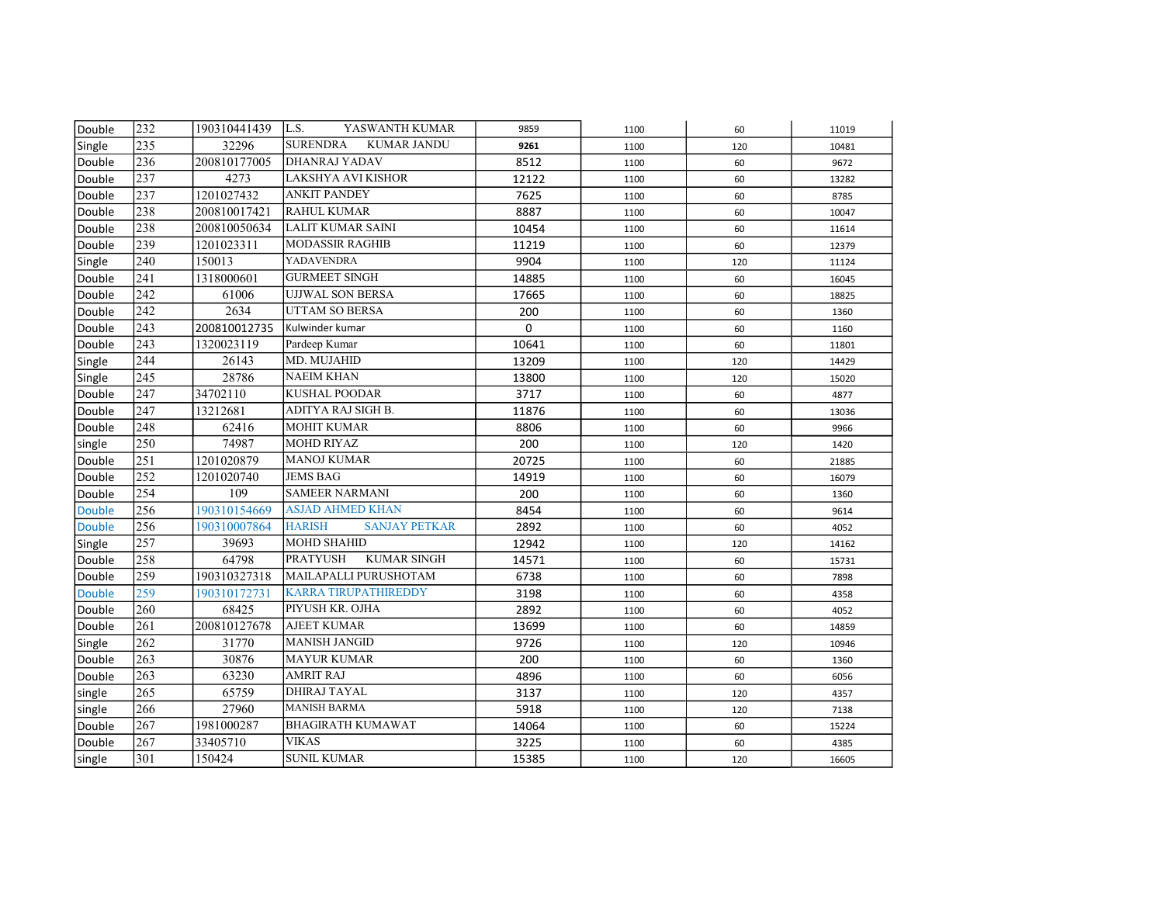| Double        | 232              | 190310441439 | L.S.<br>YASWANTH KUMAR                | 9859        | 1100 | 60  | 11019 |
|---------------|------------------|--------------|---------------------------------------|-------------|------|-----|-------|
| Single        | 235              | 32296        | <b>SURENDRA</b><br><b>KUMAR JANDU</b> | 9261        | 1100 | 120 | 10481 |
| Double        | 236              | 200810177005 | <b>DHANRAJ YADAV</b>                  | 8512        | 1100 | 60  | 9672  |
| Double        | 237              | 4273         | LAKSHYA AVI KISHOR                    | 12122       | 1100 | 60  | 13282 |
| Double        | 237              | 1201027432   | <b>ANKIT PANDEY</b>                   | 7625        | 1100 | 60  | 8785  |
| Double        | 238              | 200810017421 | <b>RAHUL KUMAR</b>                    | 8887        | 1100 | 60  | 10047 |
| Double        | 238              | 200810050634 | <b>LALIT KUMAR SAINI</b>              | 10454       | 1100 | 60  | 11614 |
| Double        | 239              | 1201023311   | <b>MODASSIR RAGHIB</b>                | 11219       | 1100 | 60  | 12379 |
| Single        | 240              | 150013       | YADAVENDRA                            | 9904        | 1100 | 120 | 11124 |
| Double        | 241              | 1318000601   | <b>GURMEET SINGH</b>                  | 14885       | 1100 | 60  | 16045 |
| Double        | 242              | 61006        | <b>UJJWAL SON BERSA</b>               | 17665       | 1100 | 60  | 18825 |
| Double        | 242              | 2634         | <b>UTTAM SO BERSA</b>                 | 200         | 1100 | 60  | 1360  |
| Double        | 243              | 200810012735 | Kulwinder kumar                       | $\mathbf 0$ | 1100 | 60  | 1160  |
| Double        | 243              | 1320023119   | Pardeep Kumar                         | 10641       | 1100 | 60  | 11801 |
| Single        | 244              | 26143        | MD. MUJAHID                           | 13209       | 1100 | 120 | 14429 |
| Single        | 245              | 28786        | <b>NAEIM KHAN</b>                     | 13800       | 1100 | 120 | 15020 |
| Double        | 247              | 34702110     | <b>KUSHAL POODAR</b>                  | 3717        | 1100 | 60  | 4877  |
| Double        | 247              | 13212681     | ADITYA RAJ SIGH B.                    | 11876       | 1100 | 60  | 13036 |
| Double        | $\frac{248}{ }$  | 62416        | <b>MOHIT KUMAR</b>                    | 8806        | 1100 | 60  | 9966  |
| single        | 250              | 74987        | <b>MOHD RIYAZ</b>                     | 200         | 1100 | 120 | 1420  |
| Double        | 251              | 1201020879   | <b>MANOJ KUMAR</b>                    | 20725       | 1100 | 60  | 21885 |
| Double        | 252              | 1201020740   | <b>JEMS BAG</b>                       | 14919       | 1100 | 60  | 16079 |
| Double        | 254              | 109          | <b>SAMEER NARMANI</b>                 | 200         | 1100 | 60  | 1360  |
| <b>Double</b> | 256              | 190310154669 | <b>ASJAD AHMED KHAN</b>               | 8454        | 1100 | 60  | 9614  |
| <b>Double</b> | 256              | 190310007864 | <b>HARISH</b><br><b>SANJAY PETKAR</b> | 2892        | 1100 | 60  | 4052  |
| Single        | 257              | 39693        | <b>MOHD SHAHID</b>                    | 12942       | 1100 | 120 | 14162 |
| Double        | 258              | 64798        | <b>PRATYUSH</b><br><b>KUMAR SINGH</b> | 14571       | 1100 | 60  | 15731 |
| Double        | 259              | 190310327318 | MAILAPALLI PURUSHOTAM                 | 6738        | 1100 | 60  | 7898  |
| <b>Double</b> | 259              | 190310172731 | <b>KARRA TIRUPATHIREDDY</b>           | 3198        | 1100 | 60  | 4358  |
| Double        | 260              | 68425        | PIYUSH KR. OJHA                       | 2892        | 1100 | 60  | 4052  |
| Double        | $\overline{261}$ | 200810127678 | <b>AJEET KUMAR</b>                    | 13699       | 1100 | 60  | 14859 |
| Single        | 262              | 31770        | <b>MANISH JANGID</b>                  | 9726        | 1100 | 120 | 10946 |
| Double        | 263              | 30876        | <b>MAYUR KUMAR</b>                    | 200         | 1100 | 60  | 1360  |
| Double        | 263              | 63230        | <b>AMRIT RAJ</b>                      | 4896        | 1100 | 60  | 6056  |
| single        | 265              | 65759        | DHIRAJ TAYAL                          | 3137        | 1100 | 120 | 4357  |
| single        | 266              | 27960        | <b>MANISH BARMA</b>                   | 5918        | 1100 | 120 | 7138  |
| Double        | 267              | 1981000287   | <b>BHAGIRATH KUMAWAT</b>              | 14064       | 1100 | 60  | 15224 |
| Double        | 267              | 33405710     | <b>VIKAS</b>                          | 3225        | 1100 | 60  | 4385  |
| single        | 301              | 150424       | <b>SUNIL KUMAR</b>                    | 15385       | 1100 | 120 | 16605 |